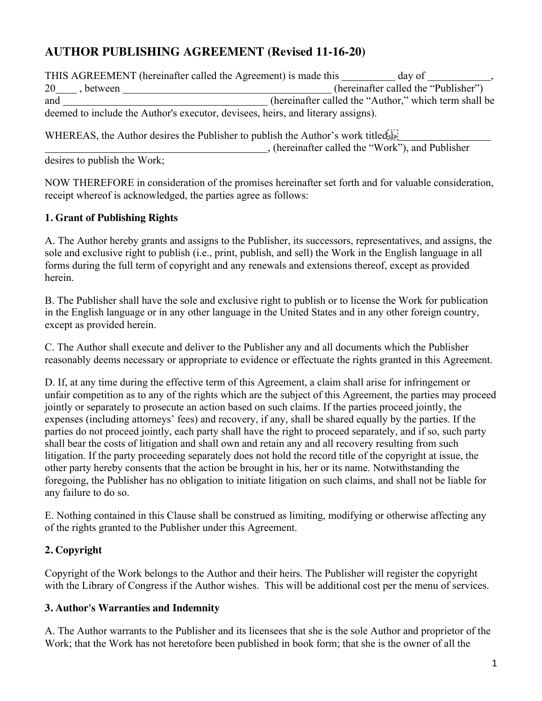# **AUTHOR PUBLISHING AGREEMENT (Revised 11-16-20)**

|                 | THIS AGREEMENT (hereinafter called the Agreement) is made this<br>day of         |
|-----------------|----------------------------------------------------------------------------------|
| 20<br>between . | (hereinafter called the "Publisher")                                             |
| and             | (hereinafter called the "Author," which term shall be                            |
|                 | deemed to include the Author's executor, devisees, heirs, and literary assigns). |

WHEREAS, the Author desires the Publisher to publish the Author's work titled sep-

, (hereinafter called the "Work"), and Publisher

desires to publish the Work;

NOW THEREFORE in consideration of the promises hereinafter set forth and for valuable consideration, receipt whereof is acknowledged, the parties agree as follows:

## **1. Grant of Publishing Rights**

A. The Author hereby grants and assigns to the Publisher, its successors, representatives, and assigns, the sole and exclusive right to publish (i.e., print, publish, and sell) the Work in the English language in all forms during the full term of copyright and any renewals and extensions thereof, except as provided herein.

B. The Publisher shall have the sole and exclusive right to publish or to license the Work for publication in the English language or in any other language in the United States and in any other foreign country, except as provided herein.

C. The Author shall execute and deliver to the Publisher any and all documents which the Publisher reasonably deems necessary or appropriate to evidence or effectuate the rights granted in this Agreement.

D. If, at any time during the effective term of this Agreement, a claim shall arise for infringement or unfair competition as to any of the rights which are the subject of this Agreement, the parties may proceed jointly or separately to prosecute an action based on such claims. If the parties proceed jointly, the expenses (including attorneys' fees) and recovery, if any, shall be shared equally by the parties. If the parties do not proceed jointly, each party shall have the right to proceed separately, and if so, such party shall bear the costs of litigation and shall own and retain any and all recovery resulting from such litigation. If the party proceeding separately does not hold the record title of the copyright at issue, the other party hereby consents that the action be brought in his, her or its name. Notwithstanding the foregoing, the Publisher has no obligation to initiate litigation on such claims, and shall not be liable for any failure to do so.

E. Nothing contained in this Clause shall be construed as limiting, modifying or otherwise affecting any of the rights granted to the Publisher under this Agreement.

# **2. Copyright**

Copyright of the Work belongs to the Author and their heirs. The Publisher will register the copyright with the Library of Congress if the Author wishes. This will be additional cost per the menu of services.

## **3. Author's Warranties and Indemnity**

A. The Author warrants to the Publisher and its licensees that she is the sole Author and proprietor of the Work; that the Work has not heretofore been published in book form; that she is the owner of all the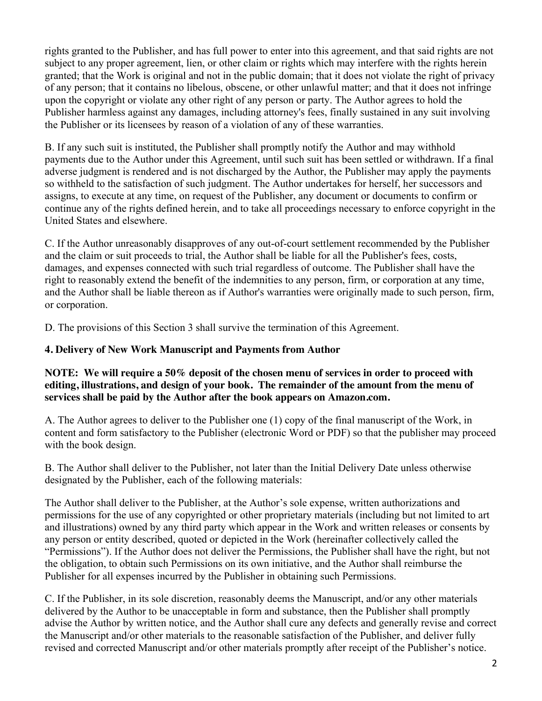rights granted to the Publisher, and has full power to enter into this agreement, and that said rights are not subject to any proper agreement, lien, or other claim or rights which may interfere with the rights herein granted; that the Work is original and not in the public domain; that it does not violate the right of privacy of any person; that it contains no libelous, obscene, or other unlawful matter; and that it does not infringe upon the copyright or violate any other right of any person or party. The Author agrees to hold the Publisher harmless against any damages, including attorney's fees, finally sustained in any suit involving the Publisher or its licensees by reason of a violation of any of these warranties.

B. If any such suit is instituted, the Publisher shall promptly notify the Author and may withhold payments due to the Author under this Agreement, until such suit has been settled or withdrawn. If a final adverse judgment is rendered and is not discharged by the Author, the Publisher may apply the payments so withheld to the satisfaction of such judgment. The Author undertakes for herself, her successors and assigns, to execute at any time, on request of the Publisher, any document or documents to confirm or continue any of the rights defined herein, and to take all proceedings necessary to enforce copyright in the United States and elsewhere.

C. If the Author unreasonably disapproves of any out-of-court settlement recommended by the Publisher and the claim or suit proceeds to trial, the Author shall be liable for all the Publisher's fees, costs, damages, and expenses connected with such trial regardless of outcome. The Publisher shall have the right to reasonably extend the benefit of the indemnities to any person, firm, or corporation at any time, and the Author shall be liable thereon as if Author's warranties were originally made to such person, firm, or corporation.

D. The provisions of this Section 3 shall survive the termination of this Agreement.

## **4. Delivery of New Work Manuscript and Payments from Author**

#### **NOTE: We will require a 50% deposit of the chosen menu of services in order to proceed with editing, illustrations, and design of your book. The remainder of the amount from the menu of services shall be paid by the Author after the book appears on Amazon.com.**

A. The Author agrees to deliver to the Publisher one (1) copy of the final manuscript of the Work, in content and form satisfactory to the Publisher (electronic Word or PDF) so that the publisher may proceed with the book design.

B. The Author shall deliver to the Publisher, not later than the Initial Delivery Date unless otherwise designated by the Publisher, each of the following materials:

The Author shall deliver to the Publisher, at the Author's sole expense, written authorizations and permissions for the use of any copyrighted or other proprietary materials (including but not limited to art and illustrations) owned by any third party which appear in the Work and written releases or consents by any person or entity described, quoted or depicted in the Work (hereinafter collectively called the "Permissions"). If the Author does not deliver the Permissions, the Publisher shall have the right, but not the obligation, to obtain such Permissions on its own initiative, and the Author shall reimburse the Publisher for all expenses incurred by the Publisher in obtaining such Permissions.

C. If the Publisher, in its sole discretion, reasonably deems the Manuscript, and/or any other materials delivered by the Author to be unacceptable in form and substance, then the Publisher shall promptly advise the Author by written notice, and the Author shall cure any defects and generally revise and correct the Manuscript and/or other materials to the reasonable satisfaction of the Publisher, and deliver fully revised and corrected Manuscript and/or other materials promptly after receipt of the Publisher's notice.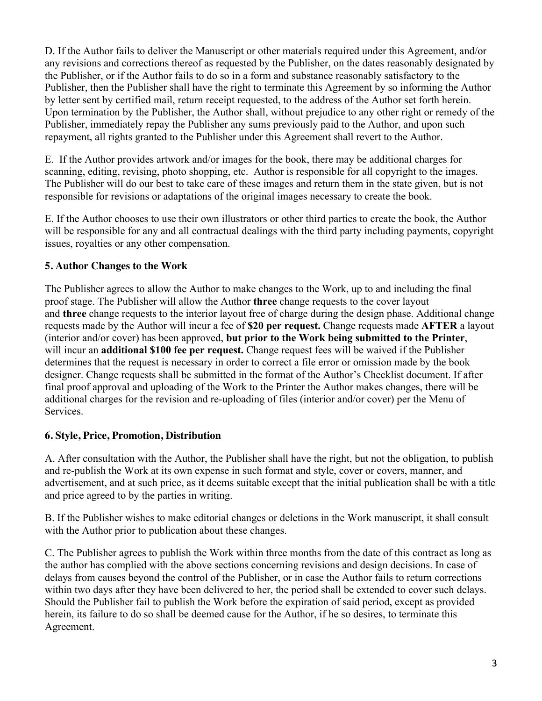D. If the Author fails to deliver the Manuscript or other materials required under this Agreement, and/or any revisions and corrections thereof as requested by the Publisher, on the dates reasonably designated by the Publisher, or if the Author fails to do so in a form and substance reasonably satisfactory to the Publisher, then the Publisher shall have the right to terminate this Agreement by so informing the Author by letter sent by certified mail, return receipt requested, to the address of the Author set forth herein. Upon termination by the Publisher, the Author shall, without prejudice to any other right or remedy of the Publisher, immediately repay the Publisher any sums previously paid to the Author, and upon such repayment, all rights granted to the Publisher under this Agreement shall revert to the Author.

E. If the Author provides artwork and/or images for the book, there may be additional charges for scanning, editing, revising, photo shopping, etc. Author is responsible for all copyright to the images. The Publisher will do our best to take care of these images and return them in the state given, but is not responsible for revisions or adaptations of the original images necessary to create the book.

E. If the Author chooses to use their own illustrators or other third parties to create the book, the Author will be responsible for any and all contractual dealings with the third party including payments, copyright issues, royalties or any other compensation.

### **5. Author Changes to the Work**

The Publisher agrees to allow the Author to make changes to the Work, up to and including the final proof stage. The Publisher will allow the Author **three** change requests to the cover layout and **three** change requests to the interior layout free of charge during the design phase. Additional change requests made by the Author will incur a fee of **\$20 per request.** Change requests made **AFTER** a layout (interior and/or cover) has been approved, **but prior to the Work being submitted to the Printer**, will incur an **additional \$100 fee per request.** Change request fees will be waived if the Publisher determines that the request is necessary in order to correct a file error or omission made by the book designer. Change requests shall be submitted in the format of the Author's Checklist document. If after final proof approval and uploading of the Work to the Printer the Author makes changes, there will be additional charges for the revision and re-uploading of files (interior and/or cover) per the Menu of Services.

## **6. Style, Price, Promotion, Distribution**

A. After consultation with the Author, the Publisher shall have the right, but not the obligation, to publish and re-publish the Work at its own expense in such format and style, cover or covers, manner, and advertisement, and at such price, as it deems suitable except that the initial publication shall be with a title and price agreed to by the parties in writing.

B. If the Publisher wishes to make editorial changes or deletions in the Work manuscript, it shall consult with the Author prior to publication about these changes.

C. The Publisher agrees to publish the Work within three months from the date of this contract as long as the author has complied with the above sections concerning revisions and design decisions. In case of delays from causes beyond the control of the Publisher, or in case the Author fails to return corrections within two days after they have been delivered to her, the period shall be extended to cover such delays. Should the Publisher fail to publish the Work before the expiration of said period, except as provided herein, its failure to do so shall be deemed cause for the Author, if he so desires, to terminate this Agreement.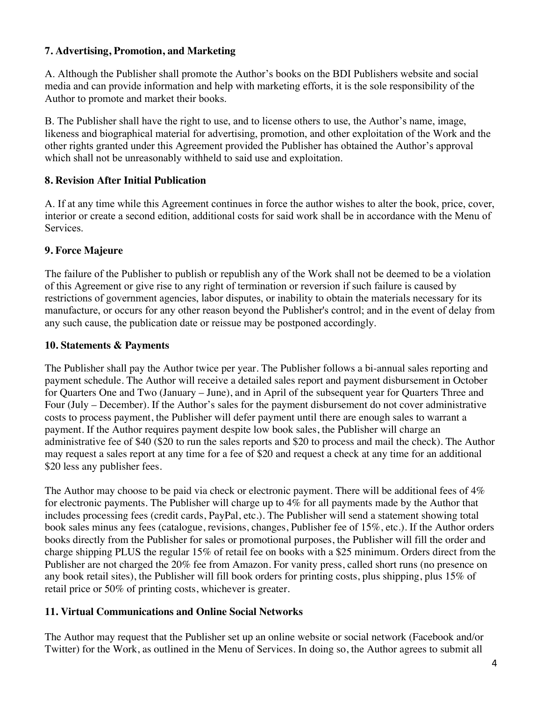#### **7. Advertising, Promotion, and Marketing**

A. Although the Publisher shall promote the Author's books on the BDI Publishers website and social media and can provide information and help with marketing efforts, it is the sole responsibility of the Author to promote and market their books.

B. The Publisher shall have the right to use, and to license others to use, the Author's name, image, likeness and biographical material for advertising, promotion, and other exploitation of the Work and the other rights granted under this Agreement provided the Publisher has obtained the Author's approval which shall not be unreasonably withheld to said use and exploitation.

### **8. Revision After Initial Publication**

A. If at any time while this Agreement continues in force the author wishes to alter the book, price, cover, interior or create a second edition, additional costs for said work shall be in accordance with the Menu of Services.

### **9. Force Majeure**

The failure of the Publisher to publish or republish any of the Work shall not be deemed to be a violation of this Agreement or give rise to any right of termination or reversion if such failure is caused by restrictions of government agencies, labor disputes, or inability to obtain the materials necessary for its manufacture, or occurs for any other reason beyond the Publisher's control; and in the event of delay from any such cause, the publication date or reissue may be postponed accordingly.

#### **10. Statements & Payments**

The Publisher shall pay the Author twice per year. The Publisher follows a bi-annual sales reporting and payment schedule. The Author will receive a detailed sales report and payment disbursement in October for Quarters One and Two (January – June), and in April of the subsequent year for Quarters Three and Four (July – December). If the Author's sales for the payment disbursement do not cover administrative costs to process payment, the Publisher will defer payment until there are enough sales to warrant a payment. If the Author requires payment despite low book sales, the Publisher will charge an administrative fee of \$40 (\$20 to run the sales reports and \$20 to process and mail the check). The Author may request a sales report at any time for a fee of \$20 and request a check at any time for an additional \$20 less any publisher fees.

The Author may choose to be paid via check or electronic payment. There will be additional fees of 4% for electronic payments. The Publisher will charge up to 4% for all payments made by the Author that includes processing fees (credit cards, PayPal, etc.). The Publisher will send a statement showing total book sales minus any fees (catalogue, revisions, changes, Publisher fee of 15%, etc.). If the Author orders books directly from the Publisher for sales or promotional purposes, the Publisher will fill the order and charge shipping PLUS the regular 15% of retail fee on books with a \$25 minimum. Orders direct from the Publisher are not charged the 20% fee from Amazon. For vanity press, called short runs (no presence on any book retail sites), the Publisher will fill book orders for printing costs, plus shipping, plus 15% of retail price or 50% of printing costs, whichever is greater.

## **11. Virtual Communications and Online Social Networks**

The Author may request that the Publisher set up an online website or social network (Facebook and/or Twitter) for the Work, as outlined in the Menu of Services. In doing so, the Author agrees to submit all